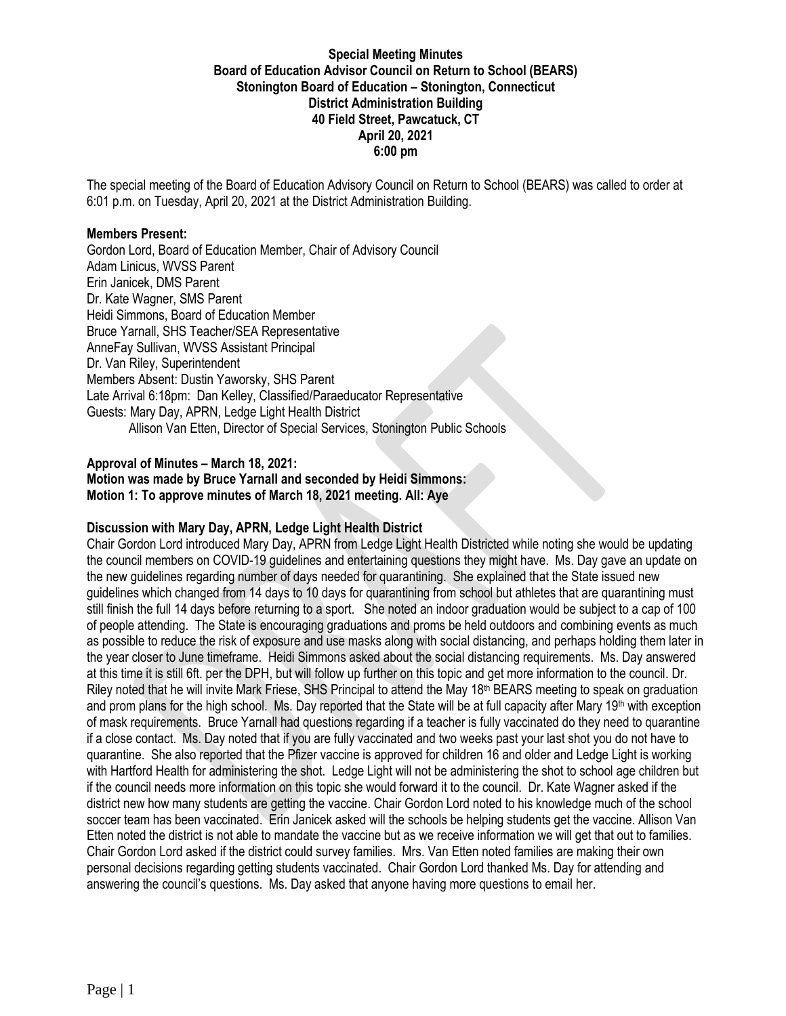### **Special Meeting Minutes Board of Education Advisor Council on Return to School (BEARS) Stonington Board of Education – Stonington, Connecticut District Administration Building 40 Field Street, Pawcatuck, CT April 20, 2021 6:00 pm**

The special meeting of the Board of Education Advisory Council on Return to School (BEARS) was called to order at 6:01 p.m. on Tuesday, April 20, 2021 at the District Administration Building.

#### **Members Present:**

Gordon Lord, Board of Education Member, Chair of Advisory Council Adam Linicus, WVSS Parent Erin Janicek, DMS Parent Dr. Kate Wagner, SMS Parent Heidi Simmons, Board of Education Member Bruce Yarnall, SHS Teacher/SEA Representative AnneFay Sullivan, WVSS Assistant Principal Dr. Van Riley, Superintendent Members Absent: Dustin Yaworsky, SHS Parent Late Arrival 6:18pm: Dan Kelley, Classified/Paraeducator Representative Guests: Mary Day, APRN, Ledge Light Health District Allison Van Etten, Director of Special Services, Stonington Public Schools

### **Approval of Minutes – March 18, 2021:**

**Motion was made by Bruce Yarnall and seconded by Heidi Simmons: Motion 1: To approve minutes of March 18, 2021 meeting. All: Aye**

### **Discussion with Mary Day, APRN, Ledge Light Health District**

Chair Gordon Lord introduced Mary Day, APRN from Ledge Light Health Districted while noting she would be updating the council members on COVID-19 guidelines and entertaining questions they might have. Ms. Day gave an update on the new guidelines regarding number of days needed for quarantining. She explained that the State issued new guidelines which changed from 14 days to 10 days for quarantining from school but athletes that are quarantining must still finish the full 14 days before returning to a sport. She noted an indoor graduation would be subject to a cap of 100 of people attending. The State is encouraging graduations and proms be held outdoors and combining events as much as possible to reduce the risk of exposure and use masks along with social distancing, and perhaps holding them later in the year closer to June timeframe. Heidi Simmons asked about the social distancing requirements. Ms. Day answered at this time it is still 6ft. per the DPH, but will follow up further on this topic and get more information to the council. Dr. Riley noted that he will invite Mark Friese, SHS Principal to attend the May  $18<sup>th</sup>$  BEARS meeting to speak on graduation and prom plans for the high school. Ms. Day reported that the State will be at full capacity after Mary  $19<sup>th</sup>$  with exception of mask requirements. Bruce Yarnall had questions regarding if a teacher is fully vaccinated do they need to quarantine if a close contact. Ms. Day noted that if you are fully vaccinated and two weeks past your last shot you do not have to quarantine. She also reported that the Pfizer vaccine is approved for children 16 and older and Ledge Light is working with Hartford Health for administering the shot. Ledge Light will not be administering the shot to school age children but if the council needs more information on this topic she would forward it to the council. Dr. Kate Wagner asked if the district new how many students are getting the vaccine. Chair Gordon Lord noted to his knowledge much of the school soccer team has been vaccinated. Erin Janicek asked will the schools be helping students get the vaccine. Allison Van Etten noted the district is not able to mandate the vaccine but as we receive information we will get that out to families. Chair Gordon Lord asked if the district could survey families. Mrs. Van Etten noted families are making their own personal decisions regarding getting students vaccinated. Chair Gordon Lord thanked Ms. Day for attending and answering the council's questions. Ms. Day asked that anyone having more questions to email her.